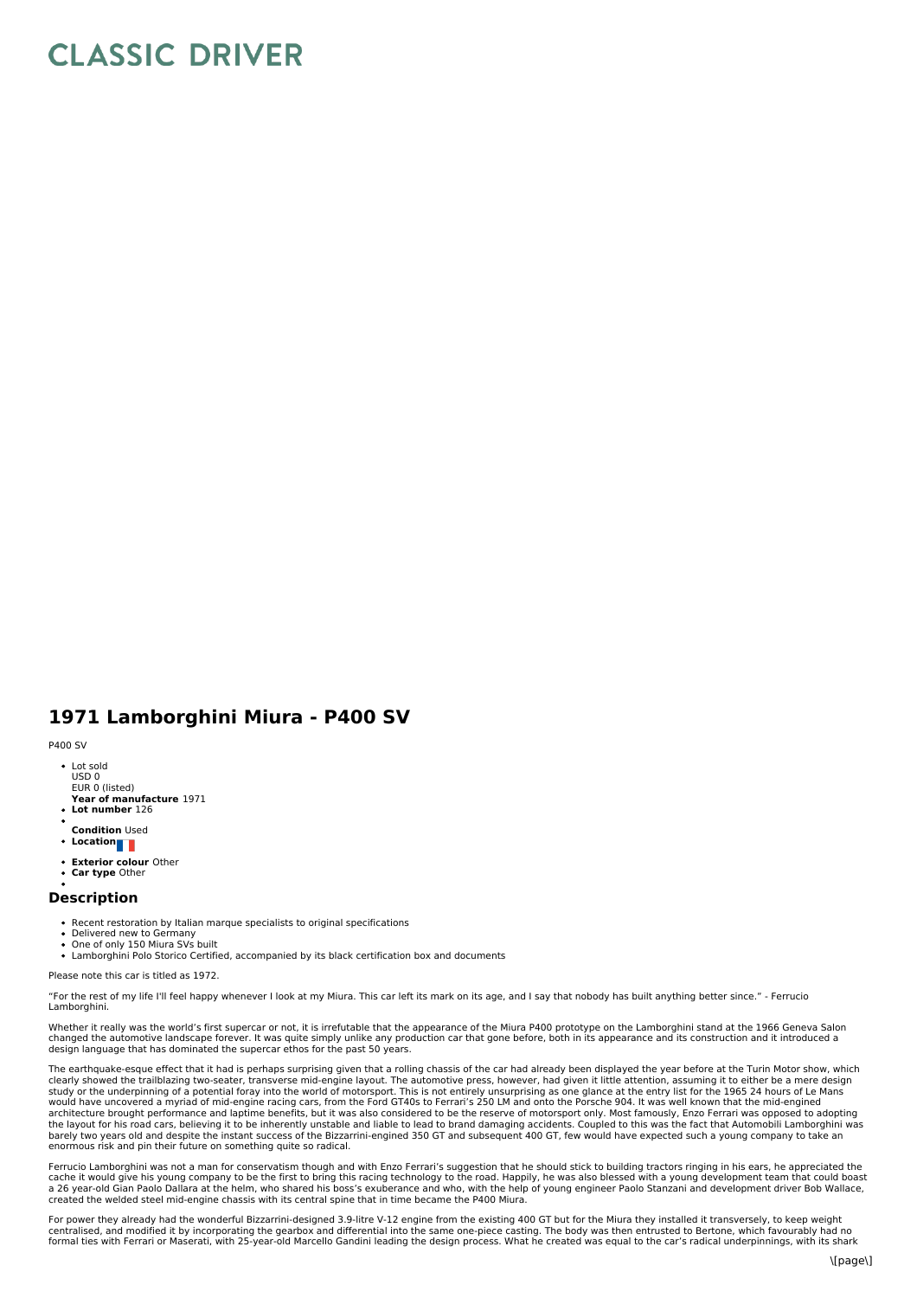## **CLASSIC DRIVER**

## **1971 Lamborghini Miura - P400 SV**

## P400 SV

- Lot sold USD 0 EUR 0 (listed)
- **Year of manufacture** 1971 **Lot number** 126
- 
- **Condition** Used
- **Location**
- **Exterior colour** Other
- **Car type** Other

## **Description**

- Recent restoration by Italian marque specialists to original specifications
- Delivered new to Germany One of only 150 Miura SVs built
- Lamborghini Polo Storico Certified, accompanied by its black certification box and documents

Please note this car is titled as 1972.

"For the rest of my life I'll feel happy whenever I look at my Miura. This car left its mark on its age, and Isay that nobody has built anything better since." - Ferrucio Lamborghini.

Whether it really was the world's first supercar or not, it is irrefutable that the appearance of the Miura P400 prototype on the Lamborghini stand at the 1966 Geneva Salon<br>changed the automotive landscape forever. It was design language that has dominated the supercar ethos for the past 50 years.

The earthquake-esque effect that it had is perhaps surprising given that a rolling chassis of the car had already been displayed the year before at the Turin Motor show, which clearly showed the trailblazing two-seater, transverse mid-engine layout. The automotive press, however, had given it little attention, assuming it to either be a mere design<br>study or the underpinning of a potential foray would have uncovered a myriad of mid-engine racing cars, from the Ford GT40s to Ferrari's 250 LM and onto the Porsche 904. It was well known that the mid-engined<br>architecture brought performance and laptime benefits, but i the layout for his road cars, believing it to be inherently unstable and liable to lead to brand damaging accidents. Coupled to this was the fact that Automobili Lamborghini was<br>barely two years old and despite the instant enormous risk and pin their future on something quite so radical.

Ferrucio Lamborghini was not a man for conservatism though and with Enzo Ferrari's suggestion that he should stick to building tractors ringing in his ears, he appreciated the<br>cache it would give his young company to be th created the welded steel mid-engine chassis with its central spine that in time became the P400 Miura.

For power they already had the wonderful Bizzarrini-designed 3.9-litre V-12 engine from the existing 400 GT but for the Miura they installed it transversely, to keep weight centralised, and modified it by incorporating the gearbox and differential into the same one-piece casting. The body was then entrusted to Bertone, which favourably had no<br>formal ties with Ferrari or Maserati, with 25-year